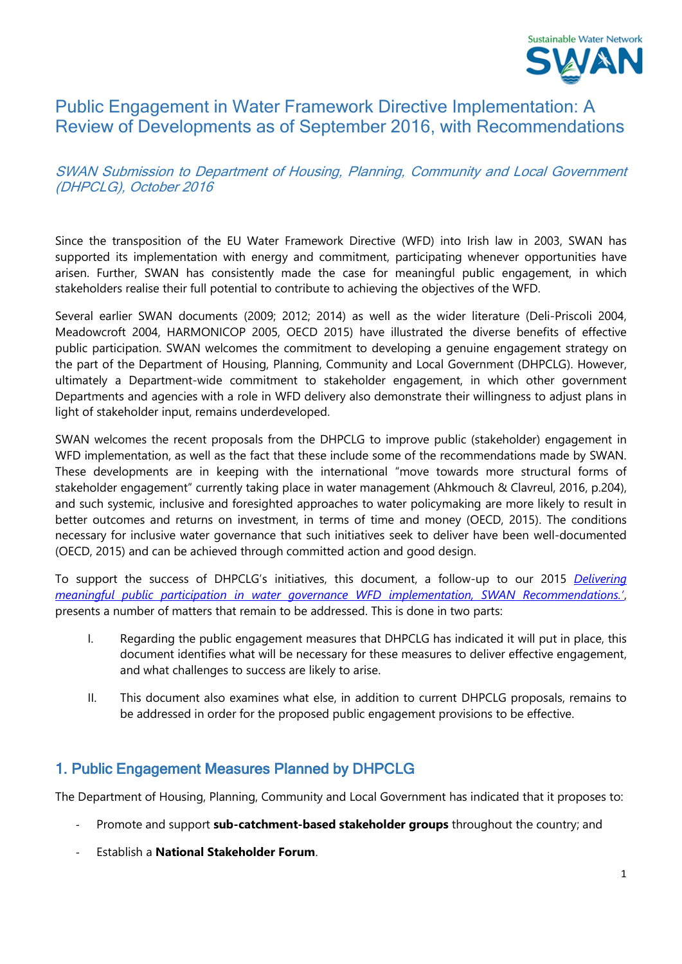

# Public Engagement in Water Framework Directive Implementation: A Review of Developments as of September 2016, with Recommendations

## SWAN Submission to Department of Housing, Planning, Community and Local Government (DHPCLG), October 2016

Since the transposition of the EU Water Framework Directive (WFD) into Irish law in 2003, SWAN has supported its implementation with energy and commitment, participating whenever opportunities have arisen. Further, SWAN has consistently made the case for meaningful public engagement, in which stakeholders realise their full potential to contribute to achieving the objectives of the WFD.

Several earlier SWAN documents (2009; 2012; 2014) as well as the wider literature (Deli-Priscoli 2004, Meadowcroft 2004, HARMONICOP 2005, OECD 2015) have illustrated the diverse benefits of effective public participation. SWAN welcomes the commitment to developing a genuine engagement strategy on the part of the Department of Housing, Planning, Community and Local Government (DHPCLG). However, ultimately a Department-wide commitment to stakeholder engagement, in which other government Departments and agencies with a role in WFD delivery also demonstrate their willingness to adjust plans in light of stakeholder input, remains underdeveloped.

SWAN welcomes the recent proposals from the DHPCLG to improve public (stakeholder) engagement in WFD implementation, as well as the fact that these include some of the recommendations made by SWAN. These developments are in keeping with the international "move towards more structural forms of stakeholder engagement" currently taking place in water management (Ahkmouch & Clavreul, 2016, p.204), and such systemic, inclusive and foresighted approaches to water policymaking are more likely to result in better outcomes and returns on investment, in terms of time and money (OECD, 2015). The conditions necessary for inclusive water governance that such initiatives seek to deliver have been well-documented (OECD, 2015) and can be achieved through committed action and good design.

To support the success of DHPCLG's initiatives, this document, a follow-up to our 2015 *[Delivering](http://www.swanireland.ie/wpfb-file/delivering-meaningful-public-participation-in-water-governance-wfd-implementation-swan-recommendations-2-pdf)  [meaningful public participation in water governance WFD implementation, SWAN Recommendations.'](http://www.swanireland.ie/wpfb-file/delivering-meaningful-public-participation-in-water-governance-wfd-implementation-swan-recommendations-2-pdf)*, presents a number of matters that remain to be addressed. This is done in two parts:

- I. Regarding the public engagement measures that DHPCLG has indicated it will put in place, this document identifies what will be necessary for these measures to deliver effective engagement, and what challenges to success are likely to arise.
- II. This document also examines what else, in addition to current DHPCLG proposals, remains to be addressed in order for the proposed public engagement provisions to be effective.

## 1. Public Engagement Measures Planned by DHPCLG

The Department of Housing, Planning, Community and Local Government has indicated that it proposes to:

- Promote and support **sub-catchment-based stakeholder groups** throughout the country; and
- Establish a **National Stakeholder Forum**.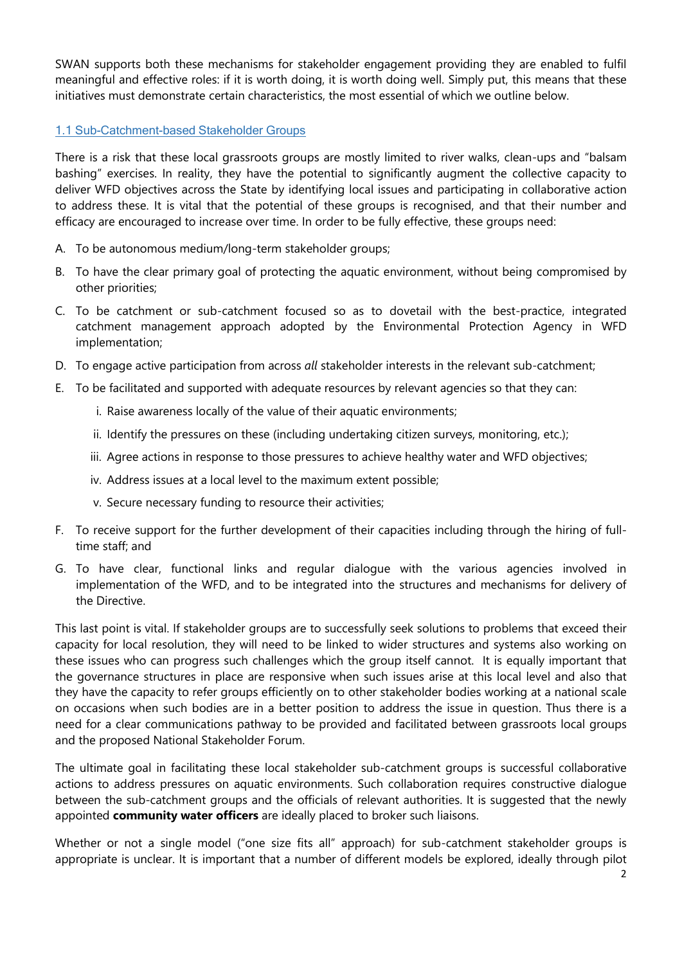SWAN supports both these mechanisms for stakeholder engagement providing they are enabled to fulfil meaningful and effective roles: if it is worth doing, it is worth doing well. Simply put, this means that these initiatives must demonstrate certain characteristics, the most essential of which we outline below.

## 1.1 Sub-Catchment-based Stakeholder Groups

There is a risk that these local grassroots groups are mostly limited to river walks, clean-ups and "balsam bashing" exercises. In reality, they have the potential to significantly augment the collective capacity to deliver WFD objectives across the State by identifying local issues and participating in collaborative action to address these. It is vital that the potential of these groups is recognised, and that their number and efficacy are encouraged to increase over time. In order to be fully effective, these groups need:

- A. To be autonomous medium/long-term stakeholder groups;
- B. To have the clear primary goal of protecting the aquatic environment, without being compromised by other priorities;
- C. To be catchment or sub-catchment focused so as to dovetail with the best-practice, integrated catchment management approach adopted by the Environmental Protection Agency in WFD implementation;
- D. To engage active participation from across *all* stakeholder interests in the relevant sub-catchment;
- E. To be facilitated and supported with adequate resources by relevant agencies so that they can:
	- i. Raise awareness locally of the value of their aquatic environments;
	- ii. Identify the pressures on these (including undertaking citizen surveys, monitoring, etc.);
	- iii. Agree actions in response to those pressures to achieve healthy water and WFD objectives;
	- iv. Address issues at a local level to the maximum extent possible;
	- v. Secure necessary funding to resource their activities;
- F. To receive support for the further development of their capacities including through the hiring of fulltime staff; and
- G. To have clear, functional links and regular dialogue with the various agencies involved in implementation of the WFD, and to be integrated into the structures and mechanisms for delivery of the Directive.

This last point is vital. If stakeholder groups are to successfully seek solutions to problems that exceed their capacity for local resolution, they will need to be linked to wider structures and systems also working on these issues who can progress such challenges which the group itself cannot. It is equally important that the governance structures in place are responsive when such issues arise at this local level and also that they have the capacity to refer groups efficiently on to other stakeholder bodies working at a national scale on occasions when such bodies are in a better position to address the issue in question. Thus there is a need for a clear communications pathway to be provided and facilitated between grassroots local groups and the proposed National Stakeholder Forum.

The ultimate goal in facilitating these local stakeholder sub-catchment groups is successful collaborative actions to address pressures on aquatic environments. Such collaboration requires constructive dialogue between the sub-catchment groups and the officials of relevant authorities. It is suggested that the newly appointed **community water officers** are ideally placed to broker such liaisons.

Whether or not a single model ("one size fits all" approach) for sub-catchment stakeholder groups is appropriate is unclear. It is important that a number of different models be explored, ideally through pilot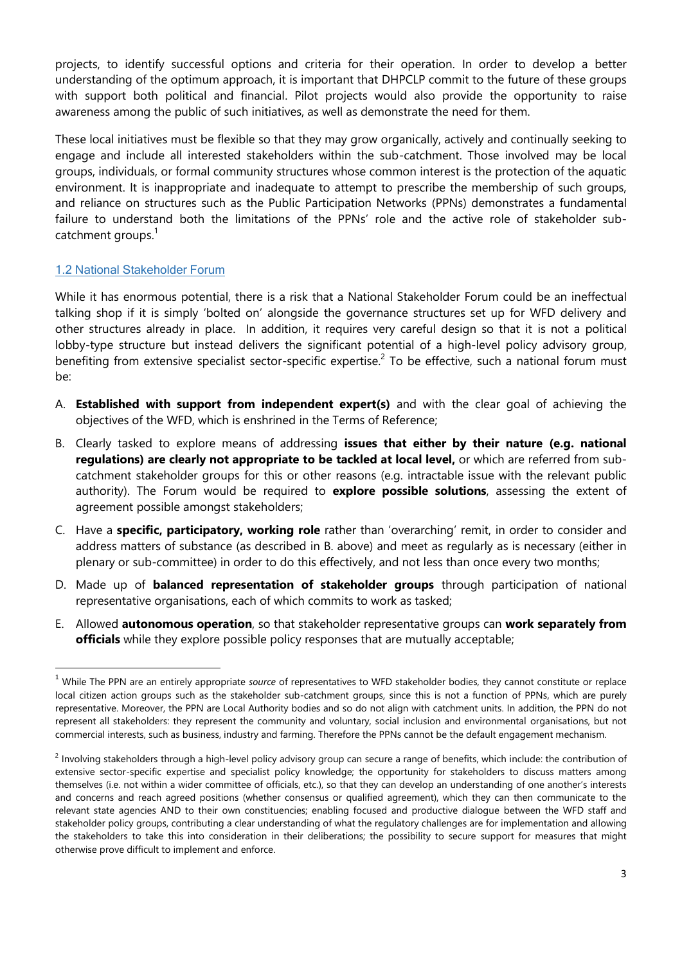projects, to identify successful options and criteria for their operation. In order to develop a better understanding of the optimum approach, it is important that DHPCLP commit to the future of these groups with support both political and financial. Pilot projects would also provide the opportunity to raise awareness among the public of such initiatives, as well as demonstrate the need for them.

These local initiatives must be flexible so that they may grow organically, actively and continually seeking to engage and include all interested stakeholders within the sub-catchment. Those involved may be local groups, individuals, or formal community structures whose common interest is the protection of the aquatic environment. It is inappropriate and inadequate to attempt to prescribe the membership of such groups, and reliance on structures such as the Public Participation Networks (PPNs) demonstrates a fundamental failure to understand both the limitations of the PPNs' role and the active role of stakeholder subcatchment groups.<sup>1</sup>

### 1.2 National Stakeholder Forum

 $\overline{a}$ 

While it has enormous potential, there is a risk that a National Stakeholder Forum could be an ineffectual talking shop if it is simply 'bolted on' alongside the governance structures set up for WFD delivery and other structures already in place. In addition, it requires very careful design so that it is not a political lobby-type structure but instead delivers the significant potential of a high-level policy advisory group, benefiting from extensive specialist sector-specific expertise.<sup>2</sup> To be effective, such a national forum must be:

- A. **Established with support from independent expert(s)** and with the clear goal of achieving the objectives of the WFD, which is enshrined in the Terms of Reference;
- B. Clearly tasked to explore means of addressing **issues that either by their nature (e.g. national regulations) are clearly not appropriate to be tackled at local level,** or which are referred from subcatchment stakeholder groups for this or other reasons (e.g. intractable issue with the relevant public authority). The Forum would be required to **explore possible solutions**, assessing the extent of agreement possible amongst stakeholders;
- C. Have a **specific, participatory, working role** rather than 'overarching' remit, in order to consider and address matters of substance (as described in B. above) and meet as regularly as is necessary (either in plenary or sub-committee) in order to do this effectively, and not less than once every two months;
- D. Made up of **balanced representation of stakeholder groups** through participation of national representative organisations, each of which commits to work as tasked;
- E. Allowed **autonomous operation**, so that stakeholder representative groups can **work separately from officials** while they explore possible policy responses that are mutually acceptable;

<sup>1</sup> While The PPN are an entirely appropriate *source* of representatives to WFD stakeholder bodies, they cannot constitute or replace local citizen action groups such as the stakeholder sub-catchment groups, since this is not a function of PPNs, which are purely representative. Moreover, the PPN are Local Authority bodies and so do not align with catchment units. In addition, the PPN do not represent all stakeholders: they represent the community and voluntary, social inclusion and environmental organisations, but not commercial interests, such as business, industry and farming. Therefore the PPNs cannot be the default engagement mechanism.

<sup>&</sup>lt;sup>2</sup> Involving stakeholders through a high-level policy advisory group can secure a range of benefits, which include: the contribution of extensive sector-specific expertise and specialist policy knowledge; the opportunity for stakeholders to discuss matters among themselves (i.e. not within a wider committee of officials, etc.), so that they can develop an understanding of one another's interests and concerns and reach agreed positions (whether consensus or qualified agreement), which they can then communicate to the relevant state agencies AND to their own constituencies; enabling focused and productive dialogue between the WFD staff and stakeholder policy groups, contributing a clear understanding of what the regulatory challenges are for implementation and allowing the stakeholders to take this into consideration in their deliberations; the possibility to secure support for measures that might otherwise prove difficult to implement and enforce.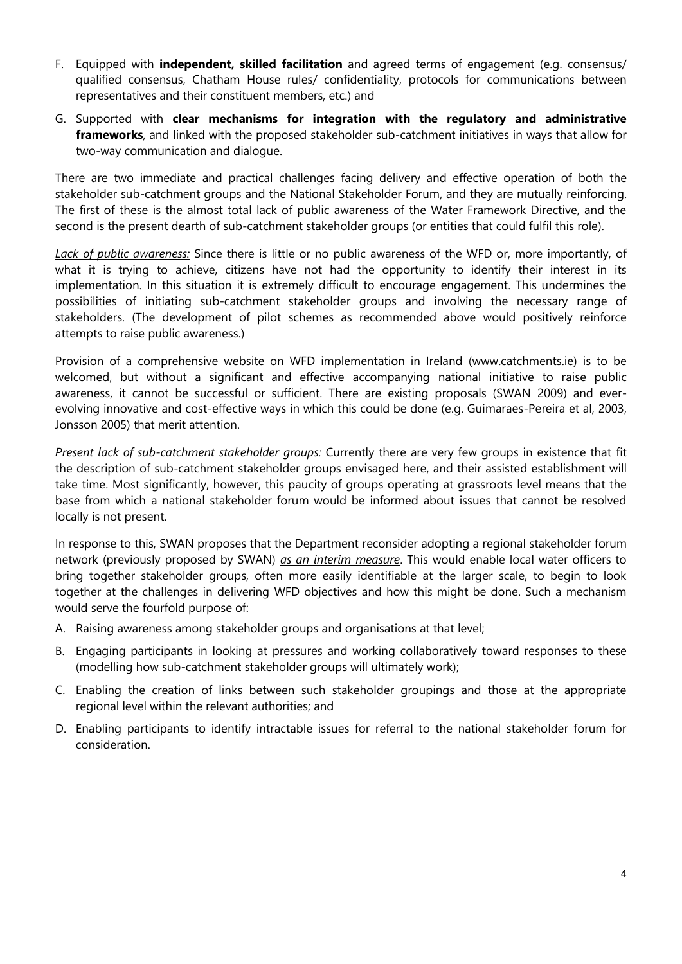- F. Equipped with **independent, skilled facilitation** and agreed terms of engagement (e.g. consensus/ qualified consensus, Chatham House rules/ confidentiality, protocols for communications between representatives and their constituent members, etc.) and
- G. Supported with **clear mechanisms for integration with the regulatory and administrative frameworks**, and linked with the proposed stakeholder sub-catchment initiatives in ways that allow for two-way communication and dialogue.

There are two immediate and practical challenges facing delivery and effective operation of both the stakeholder sub-catchment groups and the National Stakeholder Forum, and they are mutually reinforcing. The first of these is the almost total lack of public awareness of the Water Framework Directive, and the second is the present dearth of sub-catchment stakeholder groups (or entities that could fulfil this role).

*Lack of public awareness:* Since there is little or no public awareness of the WFD or, more importantly, of what it is trying to achieve, citizens have not had the opportunity to identify their interest in its implementation. In this situation it is extremely difficult to encourage engagement. This undermines the possibilities of initiating sub-catchment stakeholder groups and involving the necessary range of stakeholders. (The development of pilot schemes as recommended above would positively reinforce attempts to raise public awareness.)

Provision of a comprehensive website on WFD implementation in Ireland (www.catchments.ie) is to be welcomed, but without a significant and effective accompanying national initiative to raise public awareness, it cannot be successful or sufficient. There are existing proposals (SWAN 2009) and everevolving innovative and cost-effective ways in which this could be done (e.g. Guimaraes-Pereira et al, 2003, Jonsson 2005) that merit attention.

*Present lack of sub-catchment stakeholder groups:* Currently there are very few groups in existence that fit the description of sub-catchment stakeholder groups envisaged here, and their assisted establishment will take time. Most significantly, however, this paucity of groups operating at grassroots level means that the base from which a national stakeholder forum would be informed about issues that cannot be resolved locally is not present.

In response to this, SWAN proposes that the Department reconsider adopting a regional stakeholder forum network (previously proposed by SWAN) *as an interim measure*. This would enable local water officers to bring together stakeholder groups, often more easily identifiable at the larger scale, to begin to look together at the challenges in delivering WFD objectives and how this might be done. Such a mechanism would serve the fourfold purpose of:

- A. Raising awareness among stakeholder groups and organisations at that level;
- B. Engaging participants in looking at pressures and working collaboratively toward responses to these (modelling how sub-catchment stakeholder groups will ultimately work);
- C. Enabling the creation of links between such stakeholder groupings and those at the appropriate regional level within the relevant authorities; and
- D. Enabling participants to identify intractable issues for referral to the national stakeholder forum for consideration.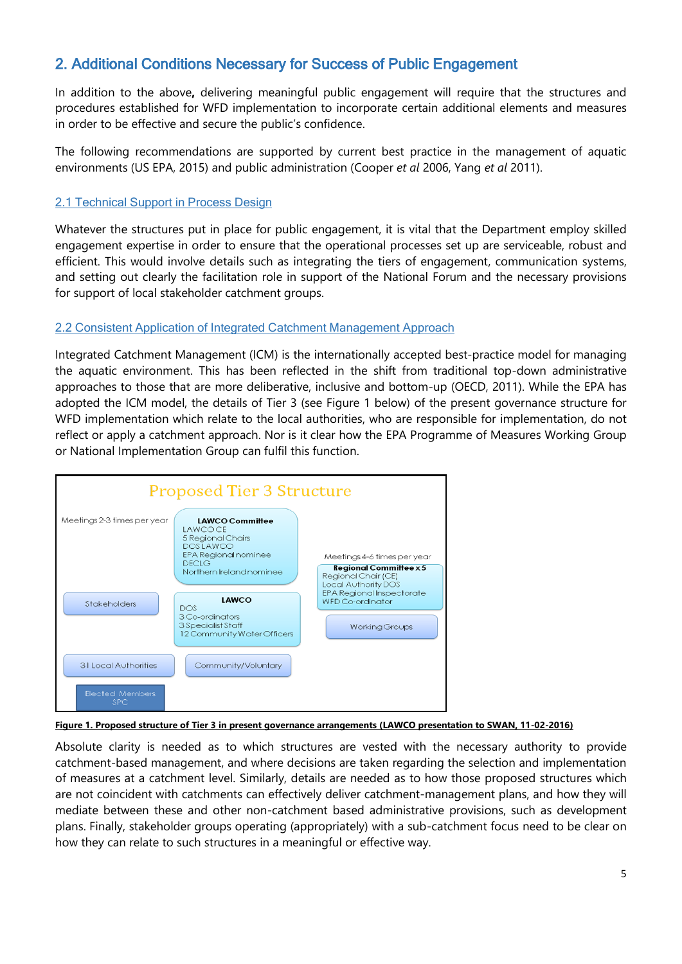# 2. Additional Conditions Necessary for Success of Public Engagement

In addition to the above**,** delivering meaningful public engagement will require that the structures and procedures established for WFD implementation to incorporate certain additional elements and measures in order to be effective and secure the public's confidence.

The following recommendations are supported by current best practice in the management of aquatic environments (US EPA, 2015) and public administration (Cooper *et al* 2006, Yang *et al* 2011).

## 2.1 Technical Support in Process Design

Whatever the structures put in place for public engagement, it is vital that the Department employ skilled engagement expertise in order to ensure that the operational processes set up are serviceable, robust and efficient. This would involve details such as integrating the tiers of engagement, communication systems, and setting out clearly the facilitation role in support of the National Forum and the necessary provisions for support of local stakeholder catchment groups.

## 2.2 Consistent Application of Integrated Catchment Management Approach

Integrated Catchment Management (ICM) is the internationally accepted best-practice model for managing the aquatic environment. This has been reflected in the shift from traditional top-down administrative approaches to those that are more deliberative, inclusive and bottom-up (OECD, 2011). While the EPA has adopted the ICM model, the details of Tier 3 (see Figure 1 below) of the present governance structure for WFD implementation which relate to the local authorities, who are responsible for implementation, do not reflect or apply a catchment approach. Nor is it clear how the EPA Programme of Measures Working Group or National Implementation Group can fulfil this function.



#### **Figure 1. Proposed structure of Tier 3 in present governance arrangements (LAWCO presentation to SWAN, 11-02-2016)**

Absolute clarity is needed as to which structures are vested with the necessary authority to provide catchment-based management, and where decisions are taken regarding the selection and implementation of measures at a catchment level. Similarly, details are needed as to how those proposed structures which are not coincident with catchments can effectively deliver catchment-management plans, and how they will mediate between these and other non-catchment based administrative provisions, such as development plans. Finally, stakeholder groups operating (appropriately) with a sub-catchment focus need to be clear on how they can relate to such structures in a meaningful or effective way.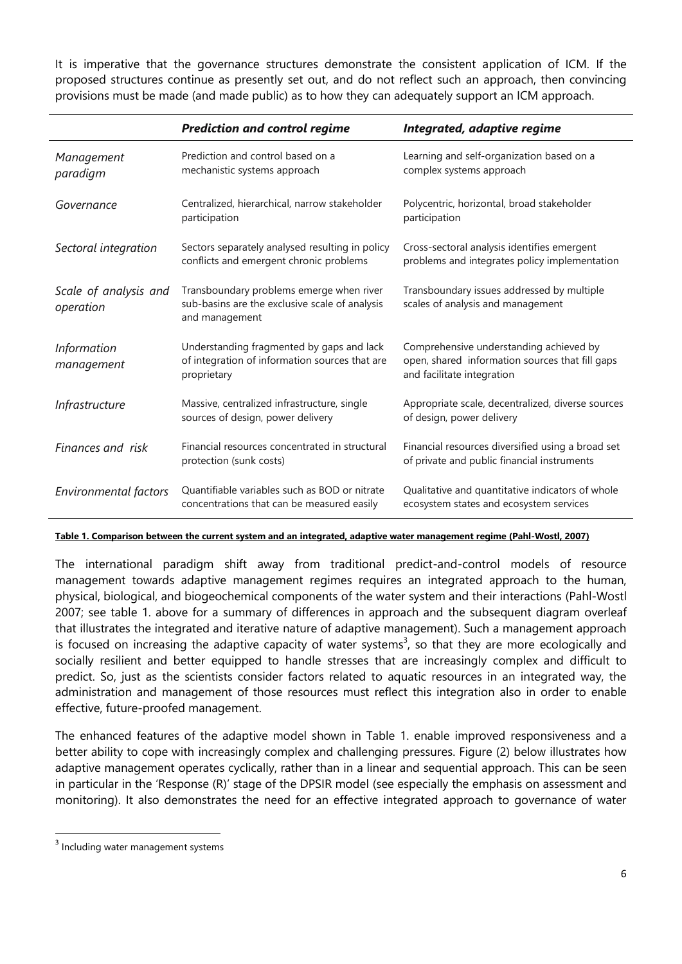It is imperative that the governance structures demonstrate the consistent application of ICM. If the proposed structures continue as presently set out, and do not reflect such an approach, then convincing provisions must be made (and made public) as to how they can adequately support an ICM approach.

|                                    | <b>Prediction and control regime</b>                                                                         | Integrated, adaptive regime                                                                                              |
|------------------------------------|--------------------------------------------------------------------------------------------------------------|--------------------------------------------------------------------------------------------------------------------------|
| Management<br>paradigm             | Prediction and control based on a<br>mechanistic systems approach                                            | Learning and self-organization based on a<br>complex systems approach                                                    |
| Governance                         | Centralized, hierarchical, narrow stakeholder<br>participation                                               | Polycentric, horizontal, broad stakeholder<br>participation                                                              |
| Sectoral integration               | Sectors separately analysed resulting in policy<br>conflicts and emergent chronic problems                   | Cross-sectoral analysis identifies emergent<br>problems and integrates policy implementation                             |
| Scale of analysis and<br>operation | Transboundary problems emerge when river<br>sub-basins are the exclusive scale of analysis<br>and management | Transboundary issues addressed by multiple<br>scales of analysis and management                                          |
| <b>Information</b><br>management   | Understanding fragmented by gaps and lack<br>of integration of information sources that are<br>proprietary   | Comprehensive understanding achieved by<br>open, shared information sources that fill gaps<br>and facilitate integration |
| <b>Infrastructure</b>              | Massive, centralized infrastructure, single<br>sources of design, power delivery                             | Appropriate scale, decentralized, diverse sources<br>of design, power delivery                                           |
| Finances and risk                  | Financial resources concentrated in structural<br>protection (sunk costs)                                    | Financial resources diversified using a broad set<br>of private and public financial instruments                         |
| Environmental factors              | Quantifiable variables such as BOD or nitrate<br>concentrations that can be measured easily                  | Qualitative and quantitative indicators of whole<br>ecosystem states and ecosystem services                              |

#### **Table 1. Comparison between the current system and an integrated, adaptive water management regime (Pahl-Wostl, 2007)**

The international paradigm shift away from traditional predict-and-control models of resource management towards adaptive management regimes requires an integrated approach to the human, physical, biological, and biogeochemical components of the water system and their interactions (Pahl-Wostl 2007; see table 1. above for a summary of differences in approach and the subsequent diagram overleaf that illustrates the integrated and iterative nature of adaptive management). Such a management approach is focused on increasing the adaptive capacity of water systems<sup>3</sup>, so that they are more ecologically and socially resilient and better equipped to handle stresses that are increasingly complex and difficult to predict. So, just as the scientists consider factors related to aquatic resources in an integrated way, the administration and management of those resources must reflect this integration also in order to enable effective, future-proofed management.

The enhanced features of the adaptive model shown in Table 1. enable improved responsiveness and a better ability to cope with increasingly complex and challenging pressures. Figure (2) below illustrates how adaptive management operates cyclically, rather than in a linear and sequential approach. This can be seen in particular in the 'Response (R)' stage of the DPSIR model (see especially the emphasis on assessment and monitoring). It also demonstrates the need for an effective integrated approach to governance of water

 $\overline{a}$ 

<sup>&</sup>lt;sup>3</sup> Including water management systems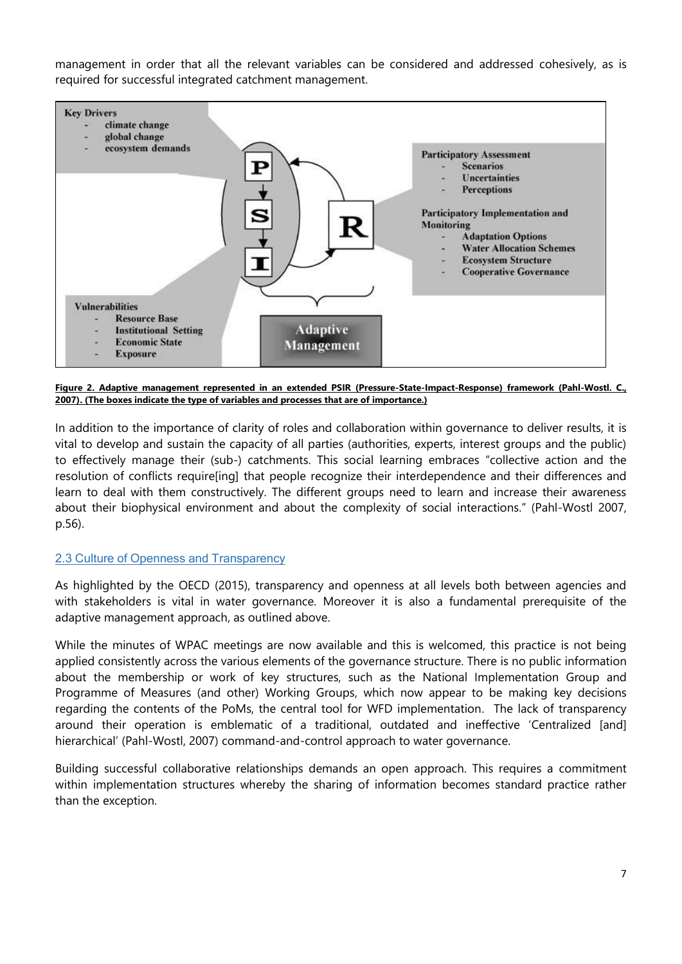management in order that all the relevant variables can be considered and addressed cohesively, as is required for successful integrated catchment management.



**Figure 2. Adaptive management represented in an extended PSIR (Pressure-State-Impact-Response) framework (Pahl-Wostl. C., 2007). (The boxes indicate the type of variables and processes that are of importance.)** 

In addition to the importance of clarity of roles and collaboration within governance to deliver results, it is vital to develop and sustain the capacity of all parties (authorities, experts, interest groups and the public) to effectively manage their (sub-) catchments. This social learning embraces "collective action and the resolution of conflicts require[ing] that people recognize their interdependence and their differences and learn to deal with them constructively. The different groups need to learn and increase their awareness about their biophysical environment and about the complexity of social interactions." (Pahl-Wostl 2007, p.56).

#### 2.3 Culture of Openness and Transparency

As highlighted by the OECD (2015), transparency and openness at all levels both between agencies and with stakeholders is vital in water governance. Moreover it is also a fundamental prerequisite of the adaptive management approach, as outlined above.

While the minutes of WPAC meetings are now available and this is welcomed, this practice is not being applied consistently across the various elements of the governance structure. There is no public information about the membership or work of key structures, such as the National Implementation Group and Programme of Measures (and other) Working Groups, which now appear to be making key decisions regarding the contents of the PoMs, the central tool for WFD implementation. The lack of transparency around their operation is emblematic of a traditional, outdated and ineffective 'Centralized [and] hierarchical' (Pahl-Wostl, 2007) command-and-control approach to water governance.

Building successful collaborative relationships demands an open approach. This requires a commitment within implementation structures whereby the sharing of information becomes standard practice rather than the exception.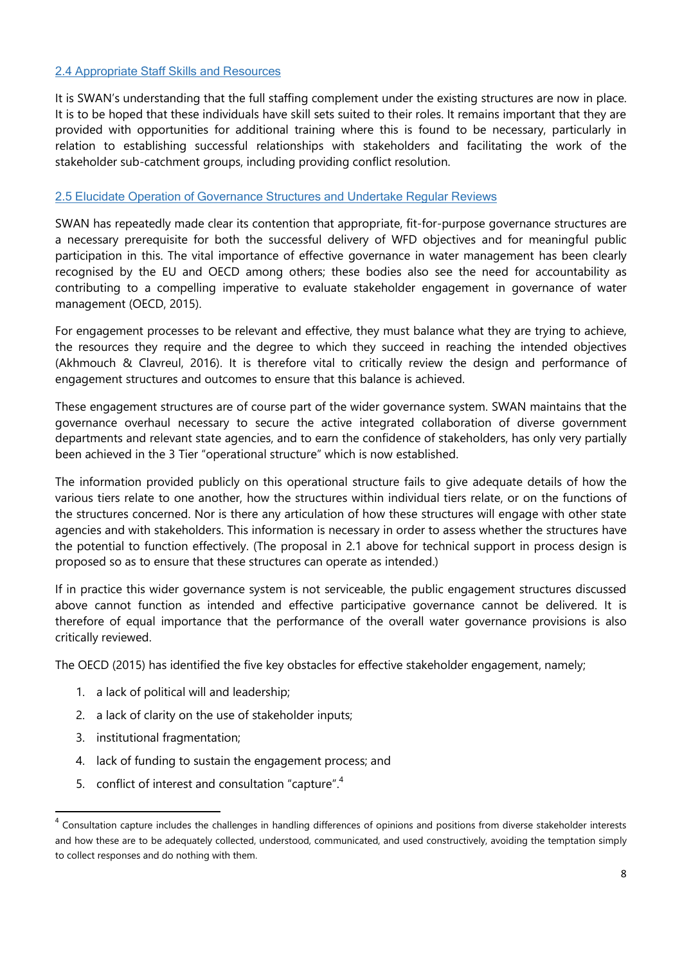## 2.4 Appropriate Staff Skills and Resources

It is SWAN's understanding that the full staffing complement under the existing structures are now in place. It is to be hoped that these individuals have skill sets suited to their roles. It remains important that they are provided with opportunities for additional training where this is found to be necessary, particularly in relation to establishing successful relationships with stakeholders and facilitating the work of the stakeholder sub-catchment groups, including providing conflict resolution.

### 2.5 Elucidate Operation of Governance Structures and Undertake Regular Reviews

SWAN has repeatedly made clear its contention that appropriate, fit-for-purpose governance structures are a necessary prerequisite for both the successful delivery of WFD objectives and for meaningful public participation in this. The vital importance of effective governance in water management has been clearly recognised by the EU and OECD among others; these bodies also see the need for accountability as contributing to a compelling imperative to evaluate stakeholder engagement in governance of water management (OECD, 2015).

For engagement processes to be relevant and effective, they must balance what they are trying to achieve, the resources they require and the degree to which they succeed in reaching the intended objectives (Akhmouch & Clavreul, 2016). It is therefore vital to critically review the design and performance of engagement structures and outcomes to ensure that this balance is achieved.

These engagement structures are of course part of the wider governance system. SWAN maintains that the governance overhaul necessary to secure the active integrated collaboration of diverse government departments and relevant state agencies, and to earn the confidence of stakeholders, has only very partially been achieved in the 3 Tier "operational structure" which is now established.

The information provided publicly on this operational structure fails to give adequate details of how the various tiers relate to one another, how the structures within individual tiers relate, or on the functions of the structures concerned. Nor is there any articulation of how these structures will engage with other state agencies and with stakeholders. This information is necessary in order to assess whether the structures have the potential to function effectively. (The proposal in 2.1 above for technical support in process design is proposed so as to ensure that these structures can operate as intended.)

If in practice this wider governance system is not serviceable, the public engagement structures discussed above cannot function as intended and effective participative governance cannot be delivered. It is therefore of equal importance that the performance of the overall water governance provisions is also critically reviewed.

The OECD (2015) has identified the five key obstacles for effective stakeholder engagement, namely;

- 1. a lack of political will and leadership;
- 2. a lack of clarity on the use of stakeholder inputs;
- 3. institutional fragmentation;

 $\overline{a}$ 

- 4. lack of funding to sustain the engagement process; and
- 5. conflict of interest and consultation "capture".<sup>4</sup>

<sup>&</sup>lt;sup>4</sup> Consultation capture includes the challenges in handling differences of opinions and positions from diverse stakeholder interests and how these are to be adequately collected, understood, communicated, and used constructively, avoiding the temptation simply to collect responses and do nothing with them.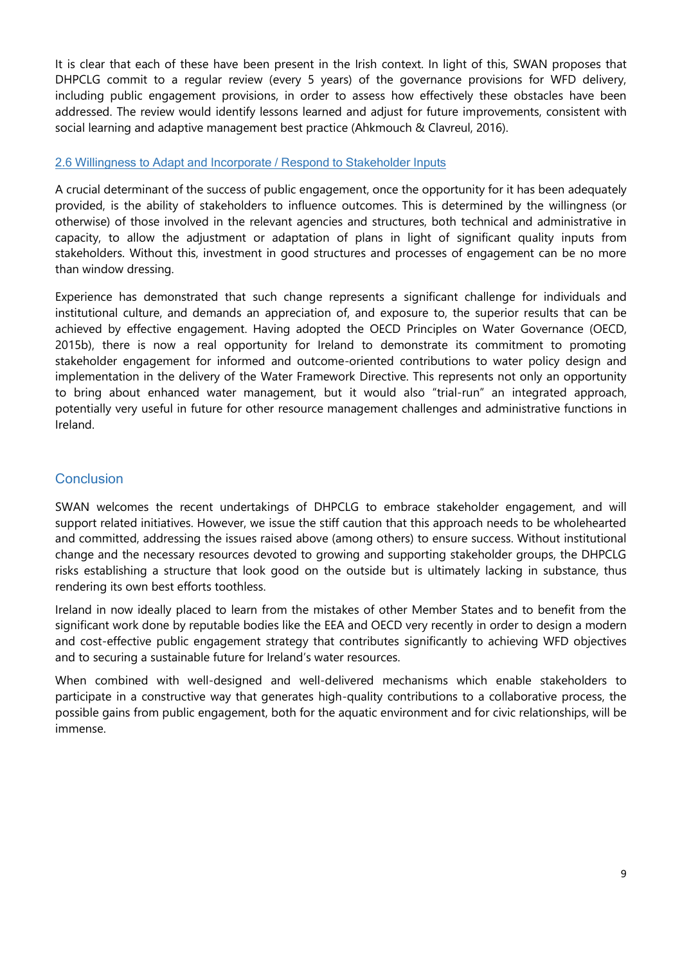It is clear that each of these have been present in the Irish context. In light of this, SWAN proposes that DHPCLG commit to a regular review (every 5 years) of the governance provisions for WFD delivery, including public engagement provisions, in order to assess how effectively these obstacles have been addressed. The review would identify lessons learned and adjust for future improvements, consistent with social learning and adaptive management best practice (Ahkmouch & Clavreul, 2016).

## 2.6 Willingness to Adapt and Incorporate / Respond to Stakeholder Inputs

A crucial determinant of the success of public engagement, once the opportunity for it has been adequately provided, is the ability of stakeholders to influence outcomes. This is determined by the willingness (or otherwise) of those involved in the relevant agencies and structures, both technical and administrative in capacity, to allow the adjustment or adaptation of plans in light of significant quality inputs from stakeholders. Without this, investment in good structures and processes of engagement can be no more than window dressing.

Experience has demonstrated that such change represents a significant challenge for individuals and institutional culture, and demands an appreciation of, and exposure to, the superior results that can be achieved by effective engagement. Having adopted the OECD Principles on Water Governance (OECD, 2015b), there is now a real opportunity for Ireland to demonstrate its commitment to promoting stakeholder engagement for informed and outcome-oriented contributions to water policy design and implementation in the delivery of the Water Framework Directive. This represents not only an opportunity to bring about enhanced water management, but it would also "trial-run" an integrated approach, potentially very useful in future for other resource management challenges and administrative functions in Ireland.

## **Conclusion**

SWAN welcomes the recent undertakings of DHPCLG to embrace stakeholder engagement, and will support related initiatives. However, we issue the stiff caution that this approach needs to be wholehearted and committed, addressing the issues raised above (among others) to ensure success. Without institutional change and the necessary resources devoted to growing and supporting stakeholder groups, the DHPCLG risks establishing a structure that look good on the outside but is ultimately lacking in substance, thus rendering its own best efforts toothless.

Ireland in now ideally placed to learn from the mistakes of other Member States and to benefit from the significant work done by reputable bodies like the EEA and OECD very recently in order to design a modern and cost-effective public engagement strategy that contributes significantly to achieving WFD objectives and to securing a sustainable future for Ireland's water resources.

When combined with well-designed and well-delivered mechanisms which enable stakeholders to participate in a constructive way that generates high-quality contributions to a collaborative process, the possible gains from public engagement, both for the aquatic environment and for civic relationships, will be immense.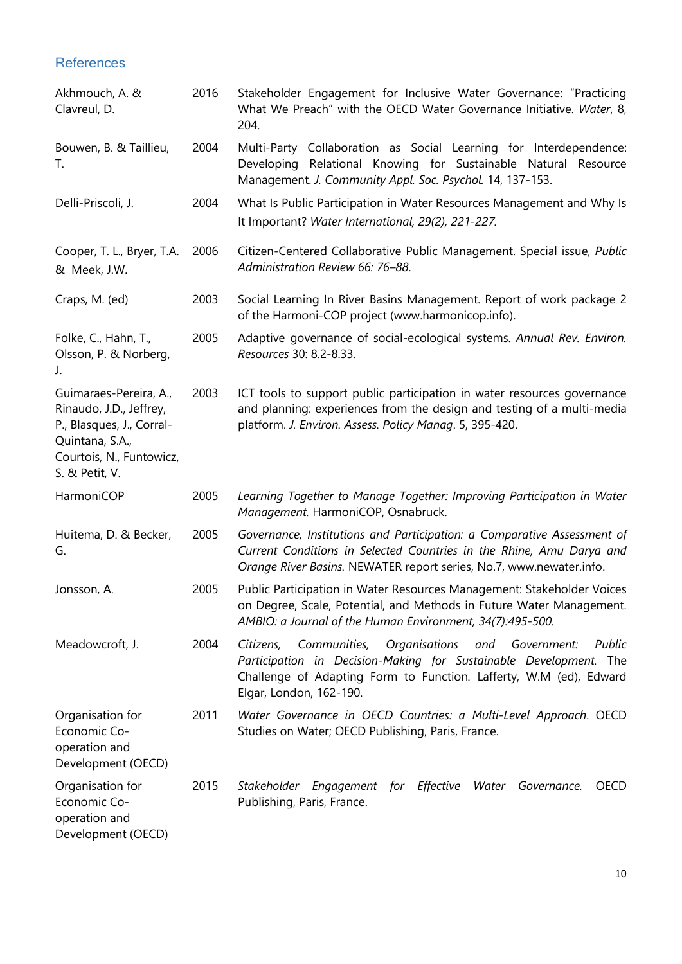**References** 

| Akhmouch, A. &<br>Clavreul, D.                                                                                                                  | 2016 | Stakeholder Engagement for Inclusive Water Governance: "Practicing<br>What We Preach" with the OECD Water Governance Initiative. Water, 8,<br>204.                                                                                            |
|-------------------------------------------------------------------------------------------------------------------------------------------------|------|-----------------------------------------------------------------------------------------------------------------------------------------------------------------------------------------------------------------------------------------------|
| Bouwen, B. & Taillieu,<br>Τ.                                                                                                                    | 2004 | Multi-Party Collaboration as Social Learning for Interdependence:<br>Relational Knowing for Sustainable Natural Resource<br>Developing<br>Management. J. Community Appl. Soc. Psychol. 14, 137-153.                                           |
| Delli-Priscoli, J.                                                                                                                              | 2004 | What Is Public Participation in Water Resources Management and Why Is<br>It Important? Water International, 29(2), 221-227.                                                                                                                   |
| Cooper, T. L., Bryer, T.A.<br>& Meek, J.W.                                                                                                      | 2006 | Citizen-Centered Collaborative Public Management. Special issue, Public<br>Administration Review 66: 76-88.                                                                                                                                   |
| Craps, M. (ed)                                                                                                                                  | 2003 | Social Learning In River Basins Management. Report of work package 2<br>of the Harmoni-COP project (www.harmonicop.info).                                                                                                                     |
| Folke, C., Hahn, T.,<br>Olsson, P. & Norberg,<br>J.                                                                                             | 2005 | Adaptive governance of social-ecological systems. Annual Rev. Environ.<br>Resources 30: 8.2-8.33.                                                                                                                                             |
| Guimaraes-Pereira, A.,<br>Rinaudo, J.D., Jeffrey,<br>P., Blasques, J., Corral-<br>Quintana, S.A.,<br>Courtois, N., Funtowicz,<br>S. & Petit, V. | 2003 | ICT tools to support public participation in water resources governance<br>and planning: experiences from the design and testing of a multi-media<br>platform. J. Environ. Assess. Policy Manag. 5, 395-420.                                  |
| HarmoniCOP                                                                                                                                      | 2005 | Learning Together to Manage Together: Improving Participation in Water<br>Management. HarmoniCOP, Osnabruck.                                                                                                                                  |
| Huitema, D. & Becker,<br>G.                                                                                                                     | 2005 | Governance, Institutions and Participation: a Comparative Assessment of<br>Current Conditions in Selected Countries in the Rhine, Amu Darya and<br>Orange River Basins. NEWATER report series, No.7, www.newater.info.                        |
| Jonsson, A.                                                                                                                                     | 2005 | Public Participation in Water Resources Management: Stakeholder Voices<br>on Degree, Scale, Potential, and Methods in Future Water Management.<br>AMBIO: a Journal of the Human Environment, 34(7):495-500.                                   |
| Meadowcroft, J.                                                                                                                                 | 2004 | Organisations<br>Public<br>Communities,<br>and Government:<br>Citizens,<br>Participation in Decision-Making for Sustainable Development. The<br>Challenge of Adapting Form to Function. Lafferty, W.M (ed), Edward<br>Elgar, London, 162-190. |
| Organisation for<br>Economic Co-<br>operation and<br>Development (OECD)                                                                         | 2011 | Water Governance in OECD Countries: a Multi-Level Approach. OECD<br>Studies on Water; OECD Publishing, Paris, France.                                                                                                                         |
| Organisation for<br>Economic Co-<br>operation and<br>Development (OECD)                                                                         | 2015 | Stakeholder Engagement for Effective Water Governance.<br>OECD<br>Publishing, Paris, France.                                                                                                                                                  |